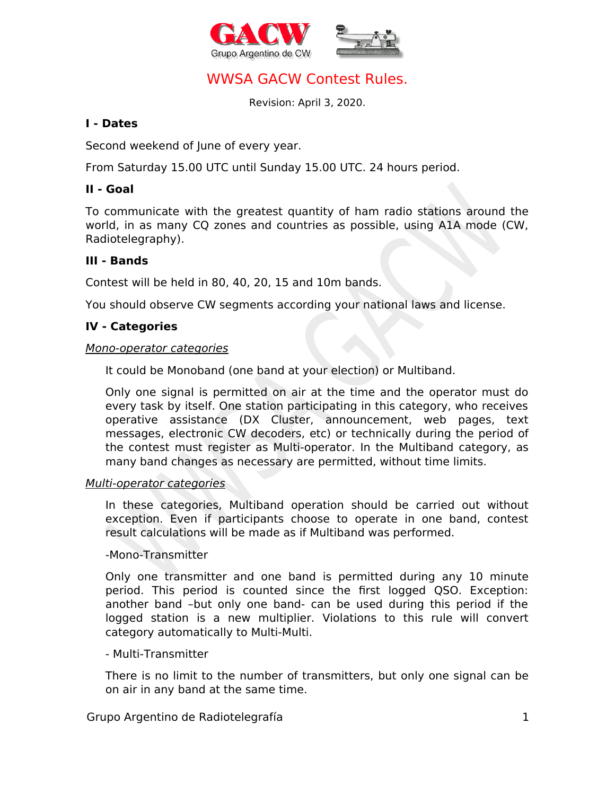



# WWSA GACW Contest Rules.

Revision: April 3, 2020.

## **I - Dates**

Second weekend of June of every year.

From Saturday 15.00 UTC until Sunday 15.00 UTC. 24 hours period.

## **II - Goal**

To communicate with the greatest quantity of ham radio stations around the world, in as many CQ zones and countries as possible, using A1A mode (CW, Radiotelegraphy).

## **III - Bands**

Contest will be held in 80, 40, 20, 15 and 10m bands.

You should observe CW segments according your national laws and license.

## **IV - Categories**

#### Mono-operator categories

It could be Monoband (one band at your election) or Multiband.

Only one signal is permitted on air at the time and the operator must do every task by itself. One station participating in this category, who receives operative assistance (DX Cluster, announcement, web pages, text messages, electronic CW decoders, etc) or technically during the period of the contest must register as Multi-operator. In the Multiband category, as many band changes as necessary are permitted, without time limits.

#### Multi-operator categories

In these categories, Multiband operation should be carried out without exception. Even if participants choose to operate in one band, contest result calculations will be made as if Multiband was performed.

#### -Mono-Transmitter

Only one transmitter and one band is permitted during any 10 minute period. This period is counted since the first logged QSO. Exception: another band –but only one band- can be used during this period if the logged station is a new multiplier. Violations to this rule will convert category automatically to Multi-Multi.

## - Multi-Transmitter

There is no limit to the number of transmitters, but only one signal can be on air in any band at the same time.

## Grupo Argentino de Radiotelegrafía de 1999 e 1999 e 1999 e 1999 e 1999 e 1999 e 1999 e 1999 e 1999 e 1999 e 19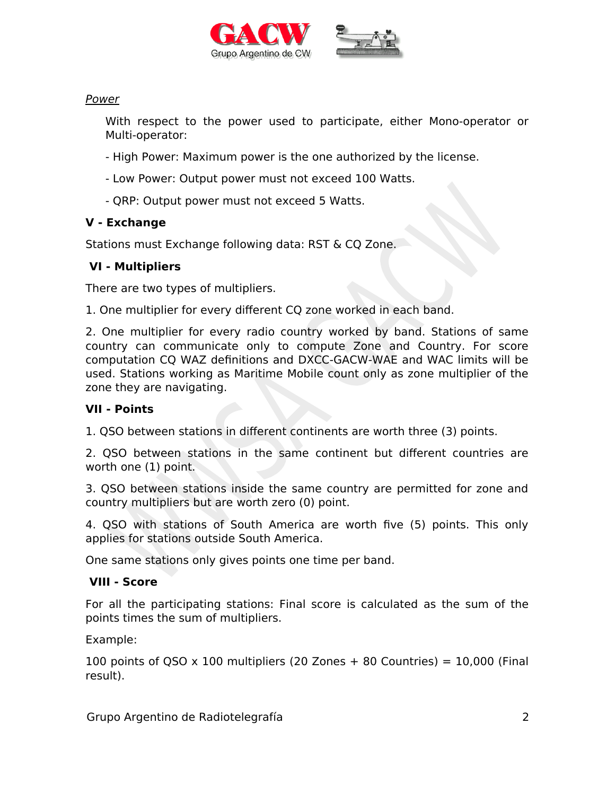



## Power

With respect to the power used to participate, either Mono-operator or Multi-operator:

- High Power: Maximum power is the one authorized by the license.
- Low Power: Output power must not exceed 100 Watts.
- QRP: Output power must not exceed 5 Watts.

# **V - Exchange**

Stations must Exchange following data: RST & CQ Zone.

## **VI - Multipliers**

There are two types of multipliers.

1. One multiplier for every different CQ zone worked in each band.

2. One multiplier for every radio country worked by band. Stations of same country can communicate only to compute Zone and Country. For score computation CQ WAZ definitions and DXCC-GACW-WAE and WAC limits will be used. Stations working as Maritime Mobile count only as zone multiplier of the zone they are navigating.

# **VII - Points**

1. QSO between stations in different continents are worth three (3) points.

2. QSO between stations in the same continent but different countries are worth one (1) point.

3. QSO between stations inside the same country are permitted for zone and country multipliers but are worth zero (0) point.

4. QSO with stations of South America are worth five (5) points. This only applies for stations outside South America.

One same stations only gives points one time per band.

# **VIII - Score**

For all the participating stations: Final score is calculated as the sum of the points times the sum of multipliers.

Example:

100 points of QSO  $\times$  100 multipliers (20 Zones + 80 Countries) = 10,000 (Final result).

Grupo Argentino de Radiotelegrafía 2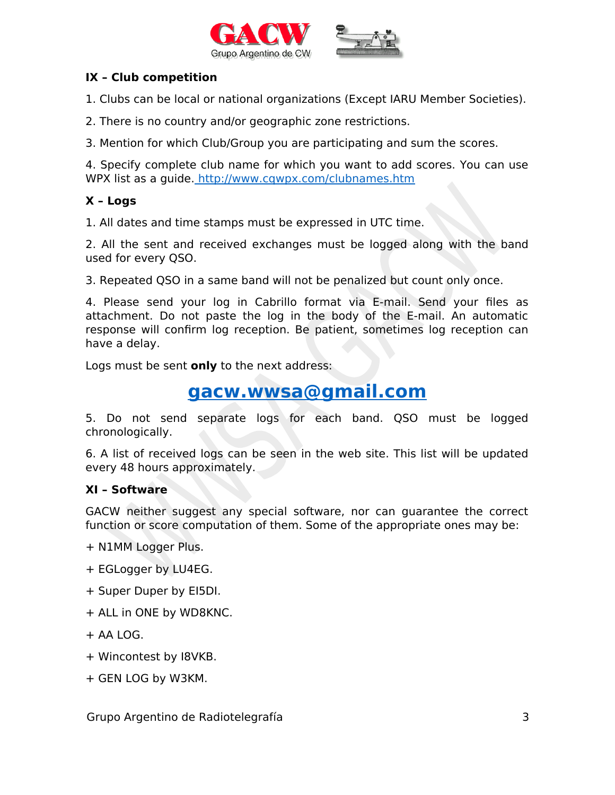



## **IX – Club competition**

1. Clubs can be local or national organizations (Except IARU Member Societies).

2. There is no country and/or geographic zone restrictions.

3. Mention for which Club/Group you are participating and sum the scores.

4. Specify complete club name for which you want to add scores. You can use WPX list as a guide.<http://www.cqwpx.com/clubnames.htm>

## **X – Logs**

1. All dates and time stamps must be expressed in UTC time.

2. All the sent and received exchanges must be logged along with the band used for every QSO.

3. Repeated QSO in a same band will not be penalized but count only once.

4. Please send your log in Cabrillo format via E-mail. Send your files as attachment. Do not paste the log in the body of the E-mail. An automatic response will confirm log reception. Be patient, sometimes log reception can have a delay.

Logs must be sent **only** to the next address:

# **[gacw.wwsa@gmail.com](mailto:gacw.wwsa@gmail.com)**

5. Do not send separate logs for each band. QSO must be logged chronologically.

6. A list of received logs can be seen in the web site. This list will be updated every 48 hours approximately.

## **XI – Software**

GACW neither suggest any special software, nor can guarantee the correct function or score computation of them. Some of the appropriate ones may be:

- + N1MM Logger Plus.
- + EGLogger by LU4EG.
- + Super Duper by EI5DI.
- + ALL in ONE by WD8KNC.
- $+$  AA LOG.
- + Wincontest by I8VKB.
- + GEN LOG by W3KM.

Grupo Argentino de Radiotelegrafía 3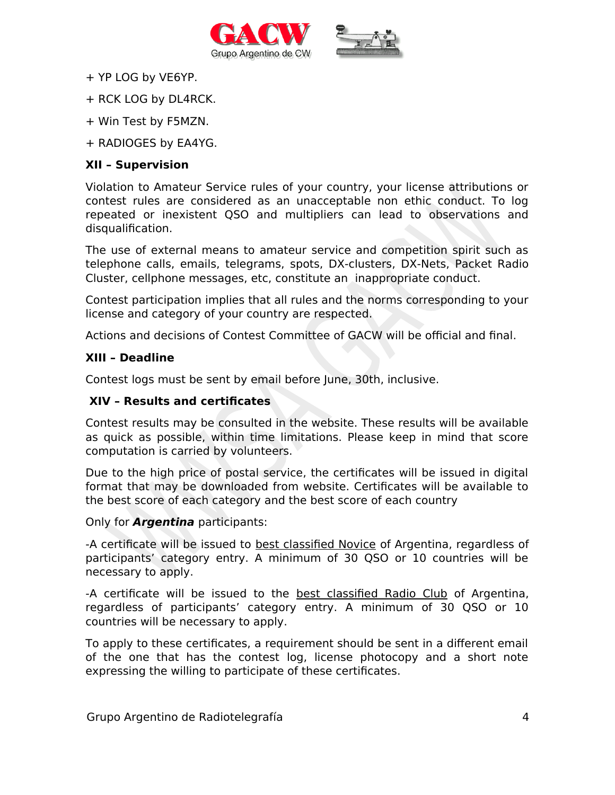



- + YP LOG by VE6YP.
- + RCK LOG by DL4RCK.
- + Win Test by F5MZN.
- + RADIOGES by EA4YG.

## **XII – Supervision**

Violation to Amateur Service rules of your country, your license attributions or contest rules are considered as an unacceptable non ethic conduct. To log repeated or inexistent QSO and multipliers can lead to observations and disqualification.

The use of external means to amateur service and competition spirit such as telephone calls, emails, telegrams, spots, DX-clusters, DX-Nets, Packet Radio Cluster, cellphone messages, etc, constitute an inappropriate conduct.

Contest participation implies that all rules and the norms corresponding to your license and category of your country are respected.

Actions and decisions of Contest Committee of GACW will be official and final.

## **XIII – Deadline**

Contest logs must be sent by email before June, 30th, inclusive.

## **XIV – Results and certificates**

Contest results may be consulted in the website. These results will be available as quick as possible, within time limitations. Please keep in mind that score computation is carried by volunteers.

Due to the high price of postal service, the certificates will be issued in digital format that may be downloaded from website. Certificates will be available to the best score of each category and the best score of each country

## Only for **Argentina** participants:

-A certificate will be issued to best classified Novice of Argentina, regardless of participants' category entry. A minimum of 30 QSO or 10 countries will be necessary to apply.

-A certificate will be issued to the best classified Radio Club of Argentina, regardless of participants' category entry. A minimum of 30 QSO or 10 countries will be necessary to apply.

To apply to these certificates, a requirement should be sent in a different email of the one that has the contest log, license photocopy and a short note expressing the willing to participate of these certificates.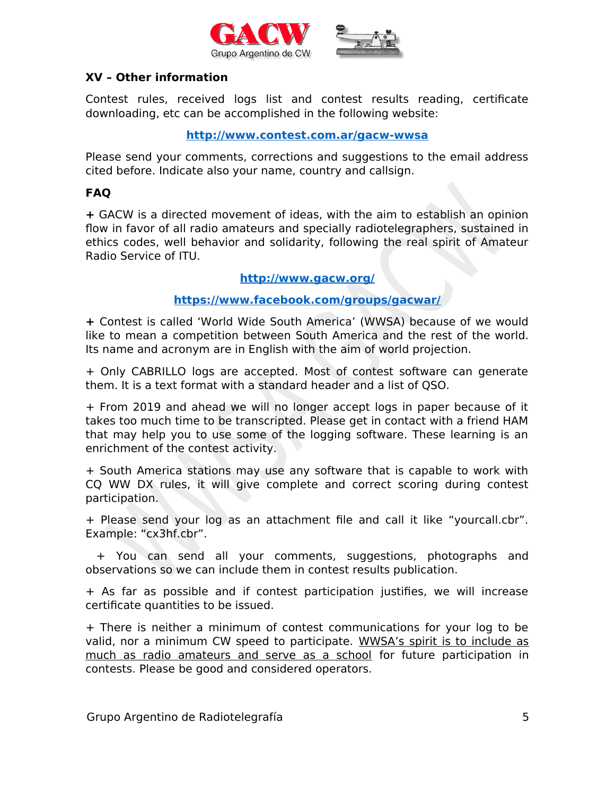



## **XV – Other information**

Contest rules, received logs list and contest results reading, certificate downloading, etc can be accomplished in the following website:

#### **<http://www.contest.com.ar/gacw-wwsa>**

Please send your comments, corrections and suggestions to the email address cited before. Indicate also your name, country and callsign.

## **FAQ**

**+** GACW is a directed movement of ideas, with the aim to establish an opinion flow in favor of all radio amateurs and specially radiotelegraphers, sustained in ethics codes, well behavior and solidarity, following the real spirit of Amateur Radio Service of ITU.

#### **<http://www.gacw.org/>**

## **<https://www.facebook.com/groups/gacwar/>**

**+** Contest is called 'World Wide South America' (WWSA) because of we would like to mean a competition between South America and the rest of the world. Its name and acronym are in English with the aim of world projection.

+ Only CABRILLO logs are accepted. Most of contest software can generate them. It is a text format with a standard header and a list of QSO.

+ From 2019 and ahead we will no longer accept logs in paper because of it takes too much time to be transcripted. Please get in contact with a friend HAM that may help you to use some of the logging software. These learning is an enrichment of the contest activity.

+ South America stations may use any software that is capable to work with CQ WW DX rules, it will give complete and correct scoring during contest participation.

+ Please send your log as an attachment file and call it like "yourcall.cbr". Example: "cx3hf.cbr".

 + You can send all your comments, suggestions, photographs and observations so we can include them in contest results publication.

+ As far as possible and if contest participation justifies, we will increase certificate quantities to be issued.

+ There is neither a minimum of contest communications for your log to be valid, nor a minimum CW speed to participate. WWSA's spirit is to include as much as radio amateurs and serve as a school for future participation in contests. Please be good and considered operators.